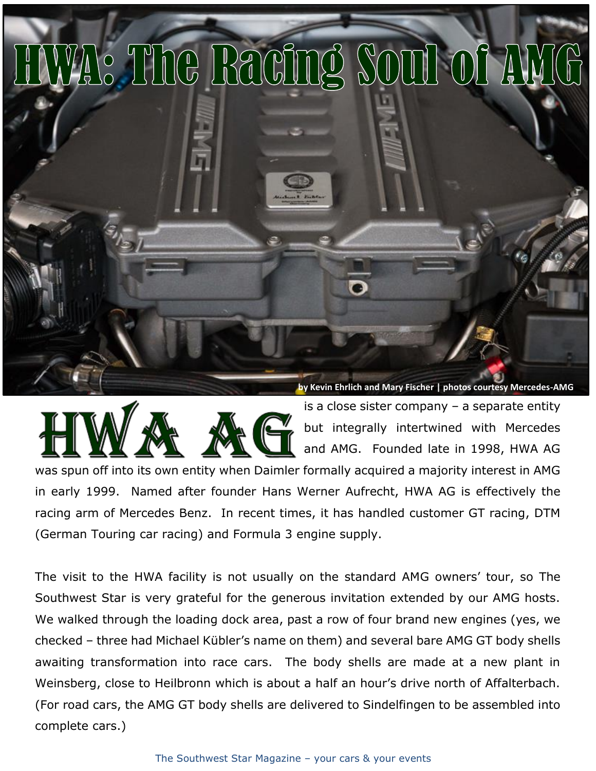



is a close sister company – a separate entity but integrally intertwined with Mercedes and AMG. Founded late in 1998, HWA AG

was spun off into its own entity when Daimler formally acquired a majority interest in AMG in early 1999. Named after founder Hans Werner Aufrecht, HWA AG is effectively the racing arm of Mercedes Benz. In recent times, it has handled customer GT racing, DTM (German Touring car racing) and Formula 3 engine supply.

The visit to the HWA facility is not usually on the standard AMG owners' tour, so The Southwest Star is very grateful for the generous invitation extended by our AMG hosts. We walked through the loading dock area, past a row of four brand new engines (yes, we checked – three had Michael Kübler's name on them) and several bare AMG GT body shells awaiting transformation into race cars. The body shells are made at a new plant in Weinsberg, close to Heilbronn which is about a half an hour's drive north of Affalterbach. (For road cars, the AMG GT body shells are delivered to Sindelfingen to be assembled into complete cars.)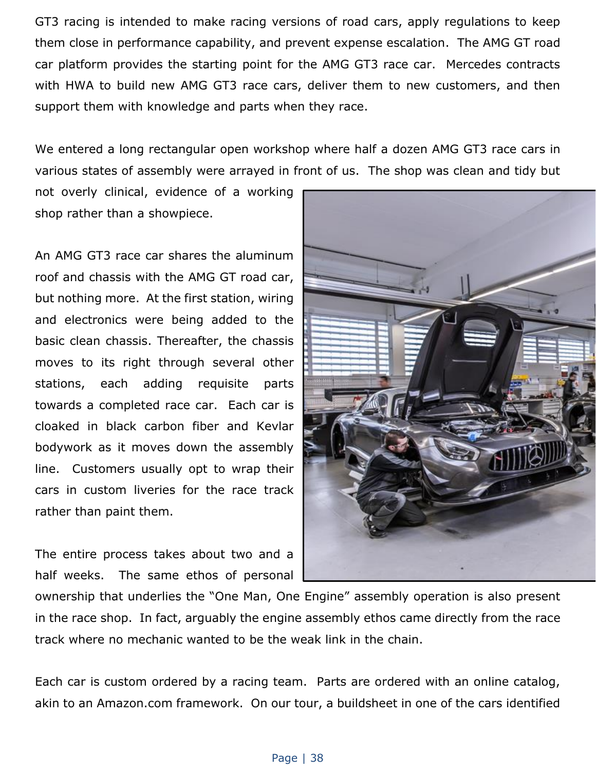GT3 racing is intended to make racing versions of road cars, apply regulations to keep them close in performance capability, and prevent expense escalation. The AMG GT road car platform provides the starting point for the AMG GT3 race car. Mercedes contracts with HWA to build new AMG GT3 race cars, deliver them to new customers, and then support them with knowledge and parts when they race.

We entered a long rectangular open workshop where half a dozen AMG GT3 race cars in various states of assembly were arrayed in front of us. The shop was clean and tidy but

not overly clinical, evidence of a working shop rather than a showpiece.

An AMG GT3 race car shares the aluminum roof and chassis with the AMG GT road car, but nothing more. At the first station, wiring and electronics were being added to the basic clean chassis. Thereafter, the chassis moves to its right through several other stations, each adding requisite parts towards a completed race car. Each car is cloaked in black carbon fiber and Kevlar bodywork as it moves down the assembly line. Customers usually opt to wrap their cars in custom liveries for the race track rather than paint them.

The entire process takes about two and a half weeks. The same ethos of personal



ownership that underlies the "One Man, One Engine" assembly operation is also present in the race shop. In fact, arguably the engine assembly ethos came directly from the race track where no mechanic wanted to be the weak link in the chain.

Each car is custom ordered by a racing team. Parts are ordered with an online catalog, akin to an Amazon.com framework. On our tour, a buildsheet in one of the cars identified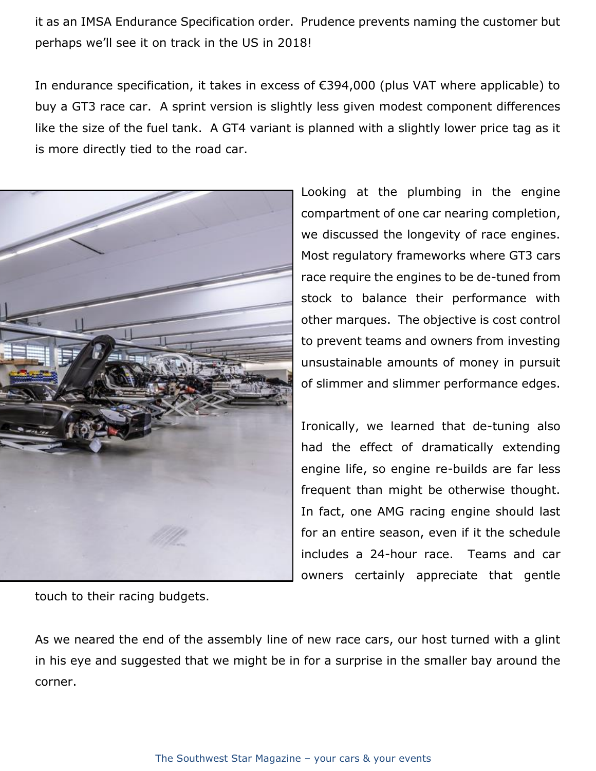it as an IMSA Endurance Specification order. Prudence prevents naming the customer but perhaps we'll see it on track in the US in 2018!

In endurance specification, it takes in excess of €394,000 (plus VAT where applicable) to buy a GT3 race car. A sprint version is slightly less given modest component differences like the size of the fuel tank. A GT4 variant is planned with a slightly lower price tag as it is more directly tied to the road car.



Looking at the plumbing in the engine compartment of one car nearing completion, we discussed the longevity of race engines. Most regulatory frameworks where GT3 cars race require the engines to be de-tuned from stock to balance their performance with other marques. The objective is cost control to prevent teams and owners from investing unsustainable amounts of money in pursuit of slimmer and slimmer performance edges.

Ironically, we learned that de-tuning also had the effect of dramatically extending engine life, so engine re-builds are far less frequent than might be otherwise thought. In fact, one AMG racing engine should last for an entire season, even if it the schedule includes a 24-hour race. Teams and car owners certainly appreciate that gentle

touch to their racing budgets.

As we neared the end of the assembly line of new race cars, our host turned with a glint in his eye and suggested that we might be in for a surprise in the smaller bay around the corner.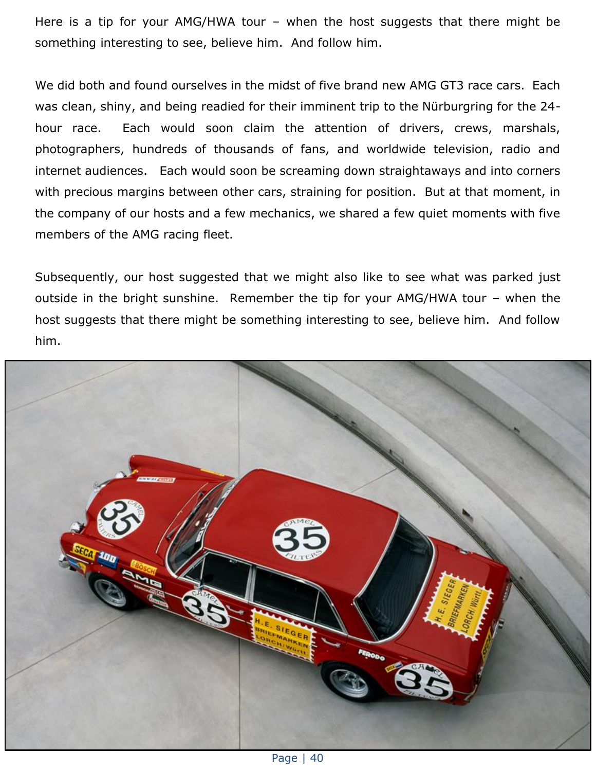Here is a tip for your AMG/HWA tour – when the host suggests that there might be something interesting to see, believe him. And follow him.

We did both and found ourselves in the midst of five brand new AMG GT3 race cars. Each was clean, shiny, and being readied for their imminent trip to the Nürburgring for the 24 hour race. Each would soon claim the attention of drivers, crews, marshals, photographers, hundreds of thousands of fans, and worldwide television, radio and internet audiences. Each would soon be screaming down straightaways and into corners with precious margins between other cars, straining for position. But at that moment, in the company of our hosts and a few mechanics, we shared a few quiet moments with five members of the AMG racing fleet.

Subsequently, our host suggested that we might also like to see what was parked just outside in the bright sunshine. Remember the tip for your AMG/HWA tour – when the host suggests that there might be something interesting to see, believe him. And follow him.



Page | 40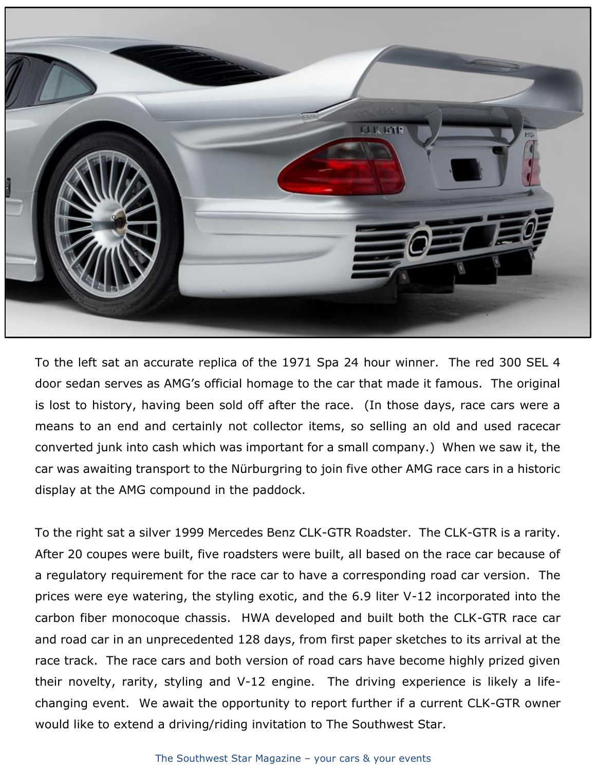

To the left sat an accurate replica of the 1971 Spa 24 hour winner. The red 300 SEL 4 door sedan serves as AMG's official homage to the car that made it famous. The original is lost to history, having been sold off after the race. (In those days, race cars were a means to an end and certainly not collector items, so selling an old and used racecar converted junk into cash which was important for a small company.) When we saw it, the car was awaiting transport to the Nürburgring to join five other AMG race cars in a historic display at the AMG compound in the paddock.

To the right sat a silver 1999 Mercedes Benz CLK-GTR Roadster. The CLK-GTR is a rarity. After 20 coupes were built, five roadsters were built, all based on the race car because of a regulatory requirement for the race car to have a corresponding road car version. The prices were eye watering, the styling exotic, and the 6.9 liter V-12 incorporated into the carbon fiber monocoque chassis. HWA developed and built both the CLK-GTR race car and road car in an unprecedented 128 days, from first paper sketches to its arrival at the race track. The race cars and both version of road cars have become highly prized given their novelty, rarity, styling and V-12 engine. The driving experience is likely a lifechanging event. We await the opportunity to report further if a current CLK-GTR owner would like to extend a driving/riding invitation to The Southwest Star.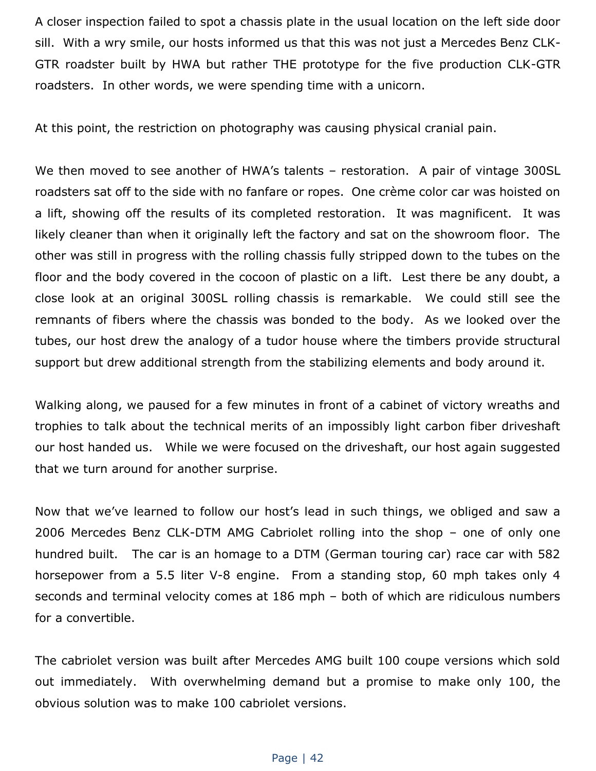A closer inspection failed to spot a chassis plate in the usual location on the left side door sill. With a wry smile, our hosts informed us that this was not just a Mercedes Benz CLK-GTR roadster built by HWA but rather THE prototype for the five production CLK-GTR roadsters. In other words, we were spending time with a unicorn.

At this point, the restriction on photography was causing physical cranial pain.

We then moved to see another of HWA's talents – restoration. A pair of vintage 300SL roadsters sat off to the side with no fanfare or ropes. One crème color car was hoisted on a lift, showing off the results of its completed restoration. It was magnificent. It was likely cleaner than when it originally left the factory and sat on the showroom floor. The other was still in progress with the rolling chassis fully stripped down to the tubes on the floor and the body covered in the cocoon of plastic on a lift. Lest there be any doubt, a close look at an original 300SL rolling chassis is remarkable. We could still see the remnants of fibers where the chassis was bonded to the body. As we looked over the tubes, our host drew the analogy of a tudor house where the timbers provide structural support but drew additional strength from the stabilizing elements and body around it.

Walking along, we paused for a few minutes in front of a cabinet of victory wreaths and trophies to talk about the technical merits of an impossibly light carbon fiber driveshaft our host handed us. While we were focused on the driveshaft, our host again suggested that we turn around for another surprise.

Now that we've learned to follow our host's lead in such things, we obliged and saw a 2006 Mercedes Benz CLK-DTM AMG Cabriolet rolling into the shop – one of only one hundred built. The car is an homage to a DTM (German touring car) race car with 582 horsepower from a 5.5 liter V-8 engine. From a standing stop, 60 mph takes only 4 seconds and terminal velocity comes at 186 mph – both of which are ridiculous numbers for a convertible.

The cabriolet version was built after Mercedes AMG built 100 coupe versions which sold out immediately. With overwhelming demand but a promise to make only 100, the obvious solution was to make 100 cabriolet versions.